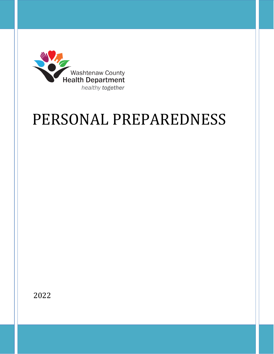

# PERSONAL PREPAREDNESS

2022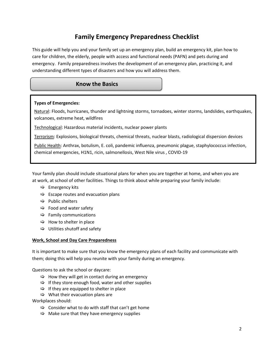# **Family Emergency Preparedness Checklist**

This guide will help you and your family set up an emergency plan, build an emergency kit, plan how to care for children, the elderly, people with access and functional needs (PAFN) and pets during and emergency. Family preparedness involves the development of an emergency plan, practicing it, and understanding different types of disasters and how you will address them.

# **Know the Basics**

#### **Types of Emergencies:**

Natural: Floods, hurricanes, thunder and lightning storms, tornadoes, winter storms, landslides, earthquakes, volcanoes, extreme heat, wildfires

Technological: Hazardous material incidents, nuclear power plants

Terrorism: Explosions, biological threats, chemical threats, nuclear blasts, radiological dispersion devices

Public Health: Anthrax, botulism, E. coli, pandemic influenza, pneumonic plague, staphylococcus infection, chemical emergencies, H1N1, ricin, salmonellosis, West Nile virus , COVID-19

Your family plan should include situational plans for when you are together at home, and when you are at work, at school of other facilities. Things to think about while preparing your family include:

- $\Rightarrow$  Emergency kits
- $\Rightarrow$  Escape routes and evacuation plans
- $\Rightarrow$  Public shelters
- $\Rightarrow$  Food and water safety
- $\Rightarrow$  Family communications
- $\Rightarrow$  How to shelter in place
- $\Rightarrow$  Utilities shutoff and safety

#### **Work, School and Day Care Preparedness**

It is important to make sure that you know the emergency plans of each facility and communicate with them; doing this will help you reunite with your family during an emergency.

Questions to ask the school or daycare:

- $\Rightarrow$  How they will get in contact during an emergency
- $\Rightarrow$  If they store enough food, water and other supplies
- $\Rightarrow$  If they are equipped to shelter in place
- $\Rightarrow$  What their evacuation plans are

Workplaces should:

- $\Rightarrow$  Consider what to do with staff that can't get home
- $\Rightarrow$  Make sure that they have emergency supplies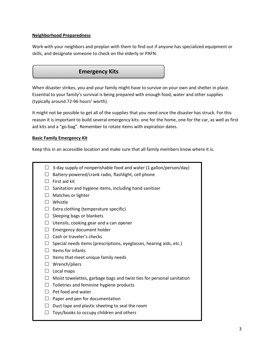#### **Neighborhood Preparedness**

Work with your neighbors and preplan with them to find out if anyone has specialized equipment or skills, and designate someone to check on the elderly or PAFN.

# **Emergency Kits**

When disaster strikes, you and your family might have to survive on your own and shelter in place. Essential to your family's survival is being prepared with enough food, water and other supplies (typically around 72-96 hours' worth).

It might not be possible to get all of the supplies that you need once the disaster has struck. For this reason it is important to build several emergency kits: one for the home, one for the car, as well as first aid kits and a "go-bag". Remember to rotate items with expiration dates.

#### **Basic Family Emergency Kit**

Keep this in an accessible location and make sure that all family members know where it is.

|  | $\Box$ 3-day supply of nonperishable food and water (1 gallon/person/day) |  |  |
|--|---------------------------------------------------------------------------|--|--|
|--|---------------------------------------------------------------------------|--|--|

- $\Box$  Battery-powered/crank radio, flashlight, cell phone
- $\Box$  First aid kit
- $\Box$  Sanitation and hygiene items, including hand sanitizer
- $\Box$  Matches or lighter
- □ Whistle
- $\Box$  Extra clothing (temperature specific)
- $\Box$  Sleeping bags or blankets
- $\Box$  Utensils, cooking gear and a can opener
- $\Box$  Emergency document holder
- $\Box$  Cash or traveler's checks
- $\Box$  Special needs items (prescriptions, eyeglasses, hearing aids, etc.)
- $\Box$  Items for infants
- $\Box$  Items that meet unique family needs
- $\Box$  Wrench/pliers
- $\Box$  Local maps
- $\Box$  Moist towelettes, garbage bags and twist ties for personal sanitation
- $\Box$  Toiletries and feminine hygiene products
- $\Box$  Pet food and water
- $\Box$  Paper and pen for documentation
- $\Box$  Duct tape and plastic sheeting to seal the room
- $\Box$  Toys/books to occupy children and others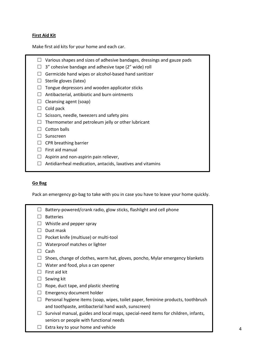#### **First Aid Kit**

Make first aid kits for your home and each car.

- $\Box$  Various shapes and sizes of adhesive bandages, dressings and gauze pads
- $\Box$  3" cohesive bandage and adhesive tape (2" wide) roll
- $\Box$  Germicide hand wipes or alcohol-based hand sanitizer
- $\Box$  Sterile gloves (latex)
- $\Box$  Tongue depressors and wooden applicator sticks
- $\Box$  Antibacterial, antibiotic and burn ointments
- $\Box$  Cleansing agent (soap)
- $\Box$  Cold pack
- $\Box$  Scissors, needle, tweezers and safety pins
- $\Box$  Thermometer and petroleum jelly or other lubricant
- $\Box$  Cotton balls
- □ Sunscreen
- $\Box$  CPR breathing barrier
- $\Box$  First aid manual
- $\Box$  Aspirin and non-aspirin pain reliever,
- $\Box$  Antidiarrheal medication, antacids, laxatives and vitamins

#### **Go Bag**

Pack an emergency go-bag to take with you in case you have to leave your home quickly.

|              | Battery-powered/crank radio, glow sticks, flashlight and cell phone               |
|--------------|-----------------------------------------------------------------------------------|
|              | <b>Batteries</b>                                                                  |
| $\perp$      | Whistle and pepper spray                                                          |
|              | Dust mask                                                                         |
| $\Box$       | Pocket knife (multiuse) or multi-tool                                             |
| $\perp$      | Waterproof matches or lighter                                                     |
| ΙI           | Cash                                                                              |
|              | Shoes, change of clothes, warm hat, gloves, poncho, Mylar emergency blankets      |
| $\perp$      | Water and food, plus a can opener                                                 |
| $\mathbf{I}$ | First aid kit                                                                     |
| ⊔            | Sewing kit                                                                        |
| ⊔            | Rope, duct tape, and plastic sheeting                                             |
| Ш            | Emergency document holder                                                         |
| $\mathsf{L}$ | Personal hygiene items (soap, wipes, toilet paper, feminine products, toothbrush  |
|              | and toothpaste, antibacterial hand wash, sunscreen)                               |
| $\mathsf{L}$ | Survival manual, guides and local maps, special-need items for children, infants, |
|              | seniors or people with functional needs                                           |
|              | Extra key to your home and vehicle                                                |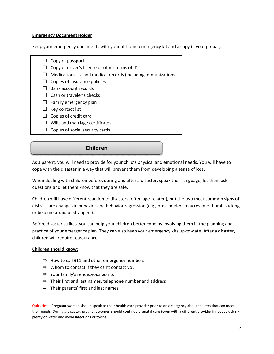#### **Emergency Document Holder**

Keep your emergency documents with your at-home emergency kit and a copy in your go-bag.

- $\Box$  Copy of passport
- $\Box$  Copy of driver's license or other forms of ID
- $\Box$  Medications list and medical records (including immunizations)
- $\Box$  Copies of insurance policies
- $\Box$  Bank account records
- $\Box$  Cash or traveler's checks
- $\Box$  Family emergency plan
- $\Box$  Key contact list
- $\Box$  Copies of credit card
- $\Box$  Wills and marriage certificates
- $\Box$  Copies of social security cards

**Children** 

As a parent, you will need to provide for your child's physical and emotional needs. You will have to cope with the disaster in a way that will prevent them from developing a sense of loss.

When dealing with children before, during and after a disaster, speak their language, let them ask questions and let them know that they are safe.

Children will have different reaction to disasters (often age-related), but the two most common signs of distress are changes in behavior and behavior regression (e.g., preschoolers may resume thumb sucking or become afraid of strangers).

Before disaster strikes, you can help your children better cope by involving them in the planning and practice of your emergency plan. They can also keep your emergency kits up-to-date. After a disaster, children will require reassurance.

#### **Children should know:**

- $\Rightarrow$  How to call 911 and other emergency numbers
- $\Rightarrow$  Whom to contact if they can't contact you
- $\Rightarrow$  Your family's rendezvous points
- $\Rightarrow$  Their first and last names, telephone number and address
- $\Rightarrow$  Their parents' first and last names

QuickNote: Pregnant women should speak to their health care provider prior to an emergency about shelters that can meet their needs. During a disaster, pregnant women should continue prenatal care (even with a different provider if needed), drink plenty of water and avoid infections or toxins.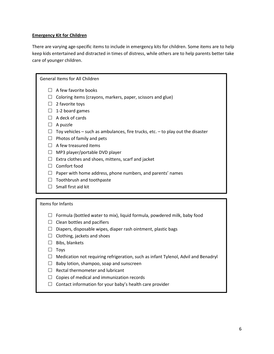#### **Emergency Kit for Children**

There are varying age-specific items to include in emergency kits for children. Some items are to help keep kids entertained and distracted in times of distress, while others are to help parents better take care of younger children.

General Items for All Children

- $\Box$  A few favorite books
- $\Box$  Coloring items (crayons, markers, paper, scissors and glue)
- $\Box$  2 favorite toys
- $\Box$  1-2 board games
- $\Box$  A deck of cards
- $\Box$  A puzzle
- $\Box$  Toy vehicles such as ambulances, fire trucks, etc. to play out the disaster
- $\Box$  Photos of family and pets
- $\Box$  A few treasured items
- $\Box$  MP3 player/portable DVD player
- $\Box$  Extra clothes and shoes, mittens, scarf and jacket
- $\Box$  Comfort food
- $\Box$  Paper with home address, phone numbers, and parents' names
- $\Box$  Toothbrush and toothpaste
- $\Box$  Small first aid kit

#### Items for Infants

- $\Box$  Formula (bottled water to mix), liquid formula, powdered milk, baby food
- $\Box$  Clean bottles and pacifiers
- $\Box$  Diapers, disposable wipes, diaper rash ointment, plastic bags
- $\Box$  Clothing, jackets and shoes
- $\Box$  Bibs, blankets
- $\Box$  Toys
- $\Box$  Medication not requiring refrigeration, such as infant Tylenol, Advil and Benadryl
- $\Box$  Baby lotion, shampoo, soap and sunscreen
- $\Box$  Rectal thermometer and lubricant
- $\Box$  Copies of medical and immunization records
- $\Box$  Contact information for your baby's health care provider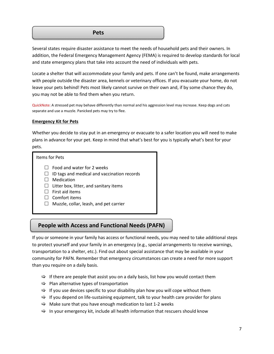#### **Pets**

Several states require disaster assistance to meet the needs of household pets and their owners. In addition, the Federal Emergency Management Agency (FEMA) is required to develop standards for local and state emergency plans that take into account the need of individuals with pets.

Locate a shelter that will accommodate your family and pets. If one can't be found, make arrangements with people outside the disaster area, kennels or veterinary offices. If you evacuate your home, do not leave your pets behind! Pets most likely cannot survive on their own and, if by some chance they do, you may not be able to find them when you return.

QuickNote: A stressed pet may behave differently than normal and his aggression level may increase. Keep dogs and cats separate and use a muzzle. Panicked pets may try to flee.

#### **Emergency Kit for Pets**

Whether you decide to stay put in an emergency or evacuate to a safer location you will need to make plans in advance for your pet. Keep in mind that what's best for you is typically what's best for your pets.

| Items for Pets |                                                                                                                                                                              |  |
|----------------|------------------------------------------------------------------------------------------------------------------------------------------------------------------------------|--|
|                | Food and water for 2 weeks<br>ID tags and medical and vaccination records<br>Medication<br>Litter box, litter, and sanitary items<br><b>First aid items</b><br>Comfort items |  |
|                | Muzzle, collar, leash, and pet carrier                                                                                                                                       |  |

# **People with Access and Functional Needs (PAFN)**

If you or someone in your family has access or functional needs, you may need to take additional steps to protect yourself and your family in an emergency (e.g., special arrangements to receive warnings, transportation to a shelter, etc.). Find out about special assistance that may be available in your community for PAFN. Remember that emergency circumstances can create a need for more support than you require on a daily basis.

- $\Rightarrow$  If there are people that assist you on a daily basis, list how you would contact them
- $\Rightarrow$  Plan alternative types of transportation
- $\Rightarrow$  If you use devices specific to your disability plan how you will cope without them
- $\Rightarrow$  If you depend on life-sustaining equipment, talk to your health care provider for plans
- $\Rightarrow$  Make sure that you have enough medication to last 1-2 weeks
- $\Rightarrow$  In your emergency kit, include all health information that rescuers should know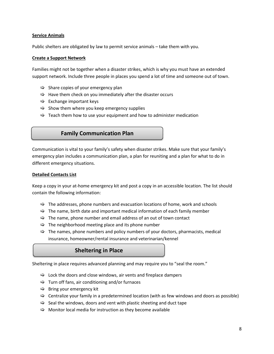#### **Service Animals**

Public shelters are obligated by law to permit service animals – take them with you.

#### **Create a Support Network**

Families might not be together when a disaster strikes, which is why you must have an extended support network. Include three people in places you spend a lot of time and someone out of town.

- $\Rightarrow$  Share copies of your emergency plan
- $\Rightarrow$  Have them check on you immediately after the disaster occurs
- $\Rightarrow$  Exchange important keys
- $\Rightarrow$  Show them where you keep emergency supplies
- $\Rightarrow$  Teach them how to use your equipment and how to administer medication

### **Family Communication Plan**

Communication is vital to your family's safety when disaster strikes. Make sure that your family's emergency plan includes a communication plan, a plan for reuniting and a plan for what to do in different emergency situations.

#### **Detailed Contacts List**

Keep a copy in your at-home emergency kit and post a copy in an accessible location. The list should contain the following information:

- $\Rightarrow$  The addresses, phone numbers and evacuation locations of home, work and schools
- $\Rightarrow$  The name, birth date and important medical information of each family member
- $\Rightarrow$  The name, phone number and email address of an out of town contact
- $\Rightarrow$  The neighborhood meeting place and its phone number
- $\Rightarrow$  The names, phone numbers and policy numbers of your doctors, pharmacists, medical insurance, homeowner/rental insurance and veterinarian/kennel

# **Sheltering in Place**

Sheltering in place requires advanced planning and may require you to "seal the room."

- $\Rightarrow$  Lock the doors and close windows, air vents and fireplace dampers
- $\Rightarrow$  Turn off fans, air conditioning and/or furnaces
- $\Rightarrow$  Bring your emergency kit
- $\Rightarrow$  Centralize your family in a predetermined location (with as few windows and doors as possible)
- $\Rightarrow$  Seal the windows, doors and vent with plastic sheeting and duct tape
- $\Rightarrow$  Monitor local media for instruction as they become available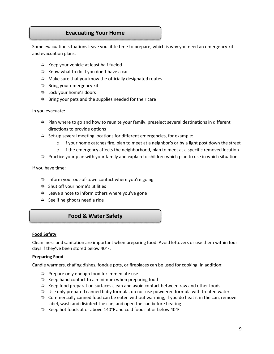### **Evacuating Your Home**

Some evacuation situations leave you little time to prepare, which is why you need an emergency kit and evacuation plans.

- $\Rightarrow$  Keep your vehicle at least half fueled
- $\Rightarrow$  Know what to do if you don't have a car
- $\Rightarrow$  Make sure that you know the officially designated routes
- $\Rightarrow$  Bring your emergency kit
- $\Rightarrow$  Lock your home's doors
- $\Rightarrow$  Bring your pets and the supplies needed for their care

In you evacuate:

- $\Rightarrow$  Plan where to go and how to reunite your family, preselect several destinations in different directions to provide options
- $\Rightarrow$  Set-up several meeting locations for different emergencies, for example:
	- $\circ$  If your home catches fire, plan to meet at a neighbor's or by a light post down the street
	- $\circ$  If the emergency affects the neighborhood, plan to meet at a specific removed location
- $\Rightarrow$  Practice your plan with your family and explain to children which plan to use in which situation

If you have time:

- $\Rightarrow$  Inform your out-of-town contact where you're going
- $\Rightarrow$  Shut off your home's utilities
- $\Rightarrow$  Leave a note to inform others where you've gone
- $\Rightarrow$  See if neighbors need a ride

# **Food & Water Safety**

#### **Food Safety**

Cleanliness and sanitation are important when preparing food. Avoid leftovers or use them within four days if they've been stored below 40°F.

#### **Preparing Food**

Candle warmers, chafing dishes, fondue pots, or fireplaces can be used for cooking. In addition:

- $\Rightarrow$  Prepare only enough food for immediate use
- $\Rightarrow$  Keep hand contact to a minimum when preparing food
- $\Rightarrow$  Keep food preparation surfaces clean and avoid contact between raw and other foods
- $\Rightarrow$  Use only prepared canned baby formula, do not use powdered formula with treated water
- $\Rightarrow$  Commercially canned food can be eaten without warming, if you do heat it in the can, remove label, wash and disinfect the can, and open the can before heating
- $\Rightarrow$  Keep hot foods at or above 140°F and cold foods at or below 40°F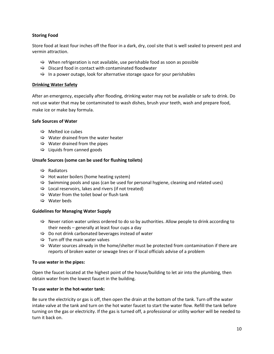#### **Storing Food**

Store food at least four inches off the floor in a dark, dry, cool site that is well sealed to prevent pest and vermin attraction.

- $\Rightarrow$  When refrigeration is not available, use perishable food as soon as possible
- $\Rightarrow$  Discard food in contact with contaminated floodwater
- $\Rightarrow$  In a power outage, look for alternative storage space for your perishables

#### **Drinking Water Safety**

After an emergency, especially after flooding, drinking water may not be available or safe to drink. Do not use water that may be contaminated to wash dishes, brush your teeth, wash and prepare food, make ice or make bay formula.

#### **Safe Sources of Water**

- $\Rightarrow$  Melted ice cubes
- $\Rightarrow$  Water drained from the water heater
- $\Rightarrow$  Water drained from the pipes
- $\Rightarrow$  Liquids from canned goods

#### **Unsafe Sources (some can be used for flushing toilets)**

- $\Rightarrow$  Radiators
- $\Rightarrow$  Hot water boilers (home heating system)
- $\Rightarrow$  Swimming pools and spas (can be used for personal hygiene, cleaning and related uses)
- $\Rightarrow$  Local reservoirs, lakes and rivers (if not treated)
- $\Rightarrow$  Water from the toilet bowl or flush tank
- $\Rightarrow$  Water beds

#### **Guidelines for Managing Water Supply**

- $\Rightarrow$  Never ration water unless ordered to do so by authorities. Allow people to drink according to their needs – generally at least four cups a day
- $\Rightarrow$  Do not drink carbonated beverages instead of water
- $\Rightarrow$  Turn off the main water valves
- $\Rightarrow$  Water sources already in the home/shelter must be protected from contamination if there are reports of broken water or sewage lines or if local officials advise of a problem

#### **To use water in the pipes:**

Open the faucet located at the highest point of the house/building to let air into the plumbing, then obtain water from the lowest faucet in the building.

#### **To use water in the hot-water tank:**

Be sure the electricity or gas is off, then open the drain at the bottom of the tank. Turn off the water intake valve at the tank and turn on the hot water faucet to start the water flow. Refill the tank before turning on the gas or electricity. If the gas is turned off, a professional or utility worker will be needed to turn it back on.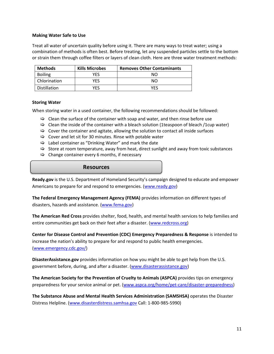#### **Making Water Safe to Use**

Treat all water of uncertain quality before using it. There are many ways to treat water; using a combination of methods is often best. Before treating, let any suspended particles settle to the bottom or strain them through coffee filters or layers of clean cloth. Here are three water treatment methods:

| <b>Methods</b> | <b>Kills Microbes</b> | <b>Removes Other Contaminants</b> |
|----------------|-----------------------|-----------------------------------|
| <b>Boiling</b> | YFS                   | NΟ                                |
| Chlorination   | YFS                   | NΟ                                |
| Distillation   | YFS                   | YFS                               |

#### **Storing Water**

When storing water in a used container, the following recommendations should be followed:

- $\Rightarrow$  Clean the surface of the container with soap and water, and then rinse before use
- $\Rightarrow$  Clean the inside of the container with a bleach solution (1 teaspoon of bleach /1 cup water)
- $\Rightarrow$  Cover the container and agitate, allowing the solution to contact all inside surfaces
- $\Rightarrow$  Cover and let sit for 30 minutes. Rinse with potable water
- $\Rightarrow$  Label container as "Drinking Water" and mark the date
- $\Rightarrow$  Store at room temperature, away from heat, direct sunlight and away from toxic substances
- $\Rightarrow$  Change container every 6 months, if necessary

#### **Resources**

**Ready.gov** is the U.S. Department of Homeland Security's campaign designed to educate and empower Americans to prepare for and respond to emergencies. [\(www.ready.gov\)](http://www.ready.gov/)

**The Federal Emergency Management Agency (FEMA)** provides information on different types of disasters, hazards and assistance. [\(www.fema.gov\)](http://www.fema.gov/)

**The American Red Cross** provides shelter, food, health, and mental health services to help families and entire communities get back on their feet after a disaster. [\(www.redcross.org\)](http://www.redcross.org/)

**Center for Disease Control and Prevention (CDC) Emergency Preparedness & Response** is intended to increase the nation's ability to prepare for and respond to public health emergencies. [\(www.emergency.cdc.gov/\)](https://emergency.cdc.gov/)

**DisasterAssistance.gov** provides information on how you might be able to get help from the U.S. government before, during, and after a disaster. [\(www.disasterassistance.gov\)](http://www.disasterassistance.gov/)

**The American Society for the Prevention of Cruelty to Animals (ASPCA)** provides tips on emergency preparedness for your service animal or pet. [\(www.aspca.org/home/pet-care/disaster-preparedness\)](http://www.aspca.org/home/pet-care/disaster-preparedness)

**The Substance Abuse and Mental Health Services Administration (SAMSHSA)** operates the Disaster Distress Helpline. [\(www.disasterdistress.samhsa.gov](http://www.disasterdistress.samhsa.gov/) Call: 1-800-985-5990)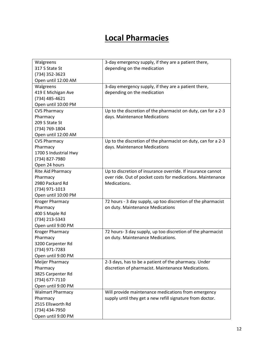# **Local Pharmacies**

| Walgreens               | 3-day emergency supply, if they are a patient there,          |
|-------------------------|---------------------------------------------------------------|
| 317 S State St          | depending on the medication                                   |
| (734) 352-3623          |                                                               |
| Open until 12:00 AM     |                                                               |
| Walgreens               | 3-day emergency supply, if they are a patient there,          |
| 419 E Michigan Ave      | depending on the medication                                   |
| (734) 485-4621          |                                                               |
| Open until 10:00 PM     |                                                               |
| <b>CVS Pharmacy</b>     | Up to the discretion of the pharmacist on duty, can for a 2-3 |
| Pharmacy                | days. Maintenance Medications                                 |
| 209 S State St          |                                                               |
| (734) 769-1804          |                                                               |
| Open until 12:00 AM     |                                                               |
| <b>CVS Pharmacy</b>     | Up to the discretion of the pharmacist on duty, can for a 2-3 |
| Pharmacy                | days. Maintenance Medications                                 |
| 1700 S Industrial Hwy   |                                                               |
| (734) 827-7980          |                                                               |
| Open 24 hours           |                                                               |
| Rite Aid Pharmacy       | Up to discretion of insurance override. If insurance cannot   |
| Pharmacy                | over ride. Out of pocket costs for medications. Maintenance   |
| 2980 Packard Rd         | Medications.                                                  |
| (734) 971-1013          |                                                               |
| Open until 10:00 PM     |                                                               |
| <b>Kroger Pharmacy</b>  | 72 hours - 3 day supply, up too discretion of the pharmacist  |
| Pharmacy                | on duty. Maintenance Medications                              |
| 400 S Maple Rd          |                                                               |
| (734) 213-5343          |                                                               |
| Open until 9:00 PM      |                                                               |
| <b>Kroger Pharmacy</b>  | 72 hours- 3 day supply, up too discretion of the pharmacist   |
| Pharmacy                | on duty. Maintenance Medications.                             |
| 3200 Carpenter Rd       |                                                               |
| (734) 971-7283          |                                                               |
| Open until 9:00 PM      |                                                               |
| Meijer Pharmacy         | 2-3 days, has to be a patient of the pharmacy. Under          |
| Pharmacy                | discretion of pharmacist. Maintenance Medications.            |
| 3825 Carpenter Rd       |                                                               |
| (734) 677-7110          |                                                               |
| Open until 9:00 PM      |                                                               |
| <b>Walmart Pharmacy</b> | Will provide maintenance medications from emergency           |
| Pharmacy                | supply until they get a new refill signature from doctor.     |
| 2515 Ellsworth Rd       |                                                               |
| (734) 434-7950          |                                                               |
| Open until 9:00 PM      |                                                               |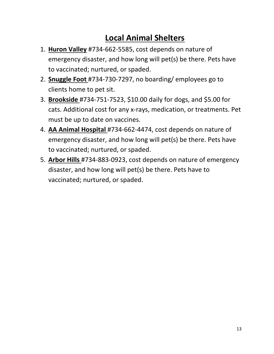# **Local Animal Shelters**

- 1. **Huron Valley** #734-662-5585, cost depends on nature of emergency disaster, and how long will pet(s) be there. Pets have to vaccinated; nurtured, or spaded.
- 2. **Snuggle Foot** #734-730-7297, no boarding/ employees go to clients home to pet sit.
- 3. **Brookside** #734-751-7523, \$10.00 daily for dogs, and \$5.00 for cats. Additional cost for any x-rays, medication, or treatments. Pet must be up to date on vaccines.
- 4. **AA Animal Hospital** #734-662-4474, cost depends on nature of emergency disaster, and how long will pet(s) be there. Pets have to vaccinated; nurtured, or spaded.
- 5. **Arbor Hills** #734-883-0923, cost depends on nature of emergency disaster, and how long will pet(s) be there. Pets have to vaccinated; nurtured, or spaded.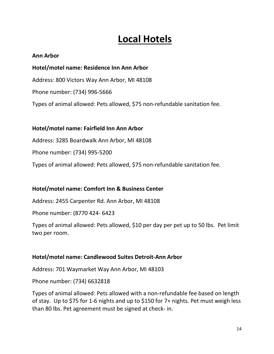# **Local Hotels**

# **Ann Arbor**

# **Hotel/motel name: Residence Inn Ann Arbor**

Address: 800 Victors Way Ann Arbor, MI 48108

Phone number: (734) 996-5666

Types of animal allowed: Pets allowed, \$75 non-refundable sanitation fee.

# **Hotel/motel name: Fairfield Inn Ann Arbor**

Address: 3285 Boardwalk Ann Arbor, MI 48108

Phone number: (734) 995-5200

Types of animal allowed: Pets allowed, \$75 non-refundable sanitation fee.

# **Hotel/motel name: Comfort Inn & Business Center**

Address: 2455 Carpenter Rd. Ann Arbor, MI 48108

Phone number: (8770 424- 6423

Types of animal allowed: Pets allowed, \$10 per day per pet up to 50 lbs. Pet limit two per room.

# **Hotel/motel name: Candlewood Suites Detroit-Ann Arbor**

Address: 701 Waymarket Way Ann Arbor, MI 48103

Phone number: (734) 6632818

Types of animal allowed: Pets allowed with a non-refundable fee based on length of stay. Up to \$75 for 1-6 nights and up to \$150 for 7+ nights. Pet must weigh less than 80 lbs. Pet agreement must be signed at check- in.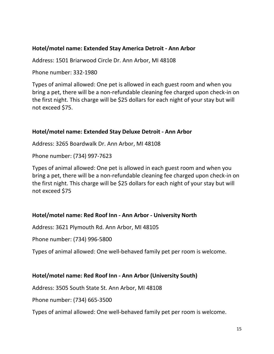# **Hotel/motel name: Extended Stay America Detroit - Ann Arbor**

Address: 1501 Briarwood Circle Dr. Ann Arbor, MI 48108

Phone number: 332-1980

Types of animal allowed: One pet is allowed in each guest room and when you bring a pet, there will be a non-refundable cleaning fee charged upon check-in on the first night. This charge will be \$25 dollars for each night of your stay but will not exceed \$75.

# **Hotel/motel name: Extended Stay Deluxe Detroit - Ann Arbor**

Address: 3265 Boardwalk Dr. Ann Arbor, MI 48108

Phone number: (734) 997-7623

Types of animal allowed: One pet is allowed in each guest room and when you bring a pet, there will be a non-refundable cleaning fee charged upon check-in on the first night. This charge will be \$25 dollars for each night of your stay but will not exceed \$75

# **Hotel/motel name: Red Roof Inn - Ann Arbor - University North**

Address: 3621 Plymouth Rd. Ann Arbor, MI 48105

Phone number: (734) 996-5800

Types of animal allowed: One well-behaved family pet per room is welcome.

# **Hotel/motel name: Red Roof Inn - Ann Arbor (University South)**

Address: 3505 South State St. Ann Arbor, MI 48108

Phone number: (734) 665-3500

Types of animal allowed: One well-behaved family pet per room is welcome.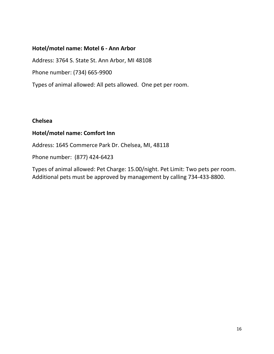# **Hotel/motel name: Motel 6 - Ann Arbor**

Address: 3764 S. State St. Ann Arbor, MI 48108

Phone number: (734) 665-9900

Types of animal allowed: All pets allowed. One pet per room.

# **Chelsea**

# **Hotel/motel name: Comfort Inn**

Address: 1645 Commerce Park Dr. Chelsea, MI, 48118

Phone number: (877) 424-6423

Types of animal allowed: Pet Charge: 15.00/night. Pet Limit: Two pets per room. Additional pets must be approved by management by calling 734-433-8800.